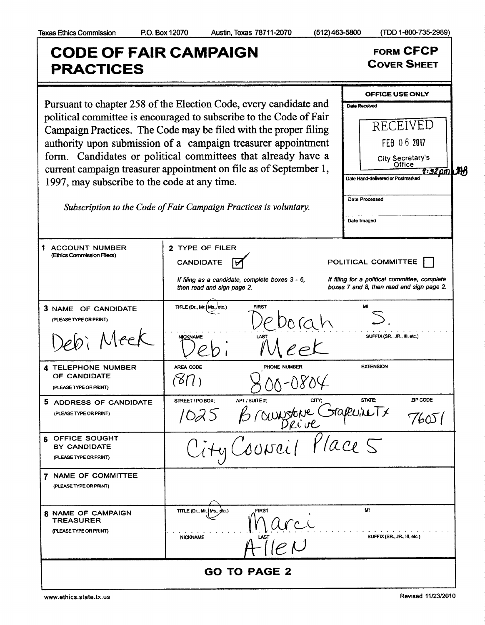(TDD 1-800-735-2989)

## **CODE OF FAIR CAMPAIGN FORM CFCP COVER SHEET PRACTICES** OFFICE USE ONLY Pursuant to chapter 258 of the Election Code, every candidate and Date Received political committee is encouraged to subscribe to the Code of Fair RECEIVED Campaign Practices. The Code may be filed with the proper filing authority upon submission of a campaign treasurer appointment FEB 06 2017 form. Candidates or political committees that already have a City Secretary's Office current campaign treasurer appointment on file as of September 1, 2:32 om LAR Date Hand-delivered or Postmarked 1997, may subscribe to the code at any time. Date Processed Subscription to the Code of Fair Campaign Practices is voluntary. Date Imaged 2 TYPE OF FILER 1 ACCOUNT NUMBER (Ethics Commission Filers) **CANDIDATE** POLITICAL COMMITTEE जि If filing as a candidate, complete boxes 3 - 6, If filing for a political committee, complete boxes 7 and 8, then read and sign page 2. then read and sign page 2. TITLE (Dr., Mr. (Ms./etc.) M 3 NAME OF CANDIDATE (PLEASE TYPE OR PRINT) si Meel SUFFIX (SR., JR., III, etc.) **NICKNAME** AREA CODE PHONE NUMBER **EXTENSION 4 TELEPHONE NUMBER** OF CANDIDATE  $(87)$ 8-0804 (PLEASE TYPE OR PRINT) APT / SUITE #: ZIP CODE STREET / PO BOX; **STATE:** 5 ADDRESS OF CANDIDATE 1025 Brownstone Grapeviets (PLEASE TYPE OR PRINT) 76051 6 OFFICE SOUGHT BY CANDIDATE (PLEASE TYPE OR PRINT) 7 NAME OF COMMITTEE (PLEASE TYPE OR PRINT) M 8 NAME OF CAMPAIGN TITLE (Dr., Mr./Ms. **TREASURER** (PLEASE TYPE OR PRINT) SUFFIX (SR., JR., III, etc.) **NICKNAME GO TO PAGE 2**